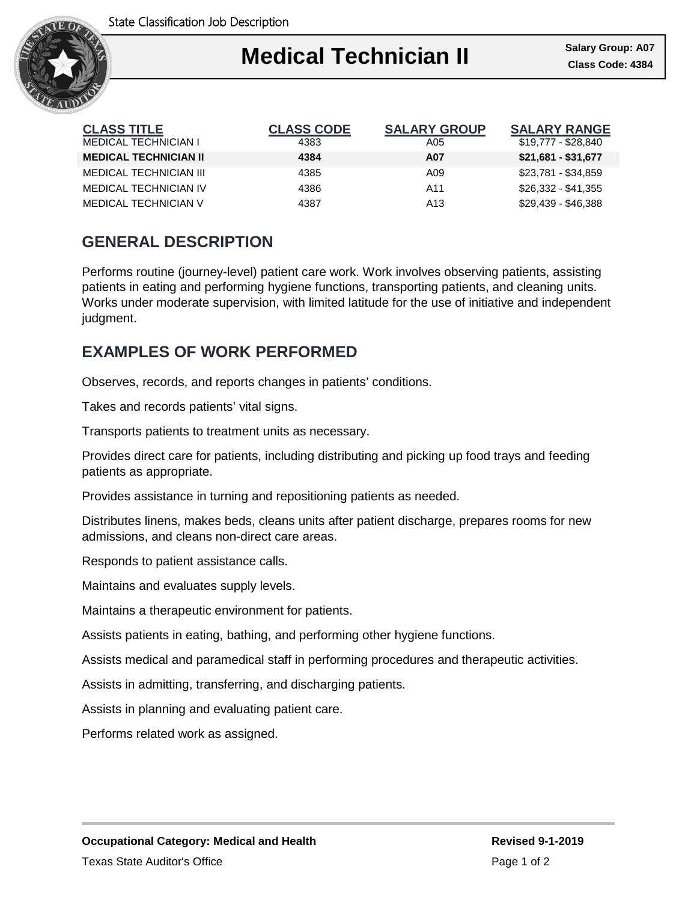

| <b>CLASS TITLE</b>            | <b>CLASS CODE</b> | <b>SALARY GROUP</b> | <b>SALARY RANGE</b> |
|-------------------------------|-------------------|---------------------|---------------------|
| <b>MEDICAL TECHNICIAN I</b>   | 4383              | A05                 | \$19,777 - \$28,840 |
| <b>MEDICAL TECHNICIAN II</b>  | 4384              | A07                 | $$21,681 - $31,677$ |
| <b>MEDICAL TECHNICIAN III</b> | 4385              | A09                 | \$23,781 - \$34,859 |
| <b>MEDICAL TECHNICIAN IV</b>  | 4386              | A11                 | $$26,332 - $41,355$ |
| MEDICAL TECHNICIAN V          | 4387              | A13                 | \$29,439 - \$46,388 |

## **GENERAL DESCRIPTION**

Performs routine (journey-level) patient care work. Work involves observing patients, assisting patients in eating and performing hygiene functions, transporting patients, and cleaning units. Works under moderate supervision, with limited latitude for the use of initiative and independent judgment.

### **EXAMPLES OF WORK PERFORMED**

Observes, records, and reports changes in patients' conditions.

Takes and records patients' vital signs.

Transports patients to treatment units as necessary.

Provides direct care for patients, including distributing and picking up food trays and feeding patients as appropriate.

Provides assistance in turning and repositioning patients as needed.

Distributes linens, makes beds, cleans units after patient discharge, prepares rooms for new admissions, and cleans non-direct care areas.

Responds to patient assistance calls.

Maintains and evaluates supply levels.

Maintains a therapeutic environment for patients.

Assists patients in eating, bathing, and performing other hygiene functions.

Assists medical and paramedical staff in performing procedures and therapeutic activities.

Assists in admitting, transferring, and discharging patients.

Assists in planning and evaluating patient care.

Performs related work as assigned.